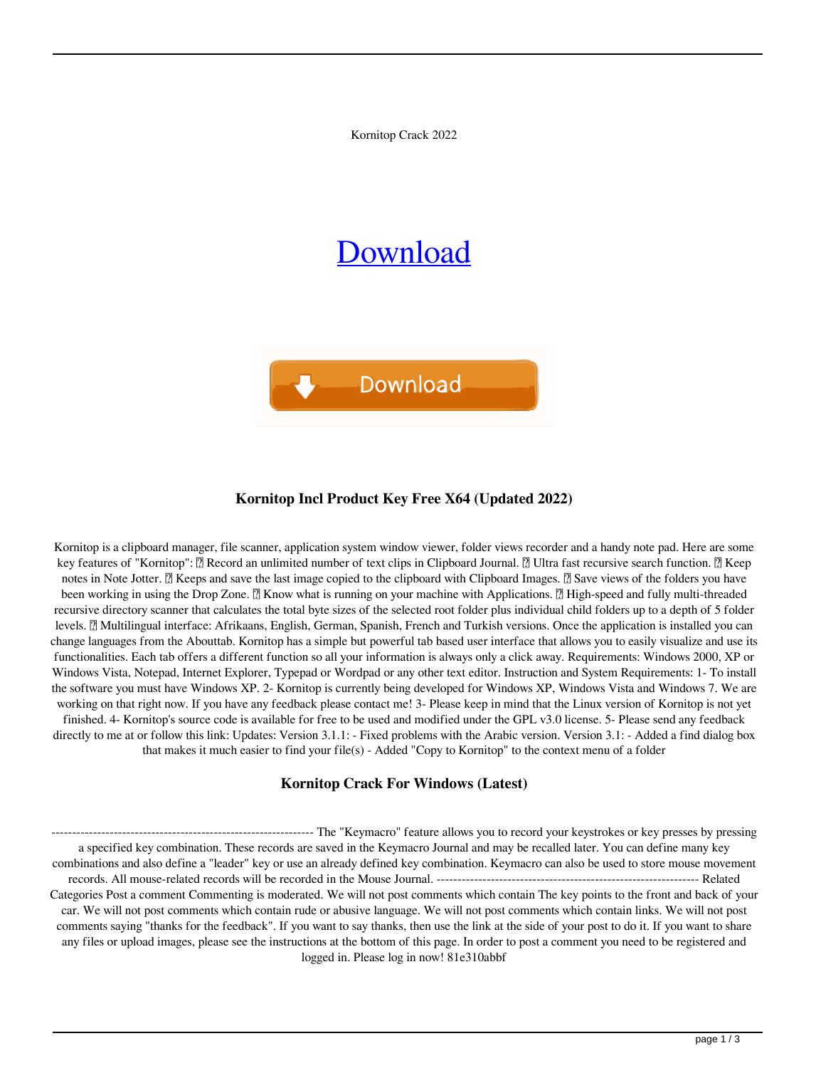Kornitop Crack 2022

# [Download](http://evacdir.com/pels/gkis.ZG93bmxvYWR8VFg5T1hRNGZId3hOalUwTkRNMk5qVTRmSHd5TlRrd2ZId29UU2tnVjI5eVpIQnlaWE56SUZ0WVRVeFNVRU1nVmpJZ1VFUkdYUQ.ligustrum.berga/S29ybml0b3AS29/optimized)



#### **Kornitop Incl Product Key Free X64 (Updated 2022)**

Kornitop is a clipboard manager, file scanner, application system window viewer, folder views recorder and a handy note pad. Here are some key features of "Kornitop":  $\mathbb{R}$  Record an unlimited number of text clips in Clipboard Journal.  $\mathbb{R}$  Ultra fast recursive search function.  $\mathbb{R}$  Keep notes in Note Jotter. **a** Keeps and save the last image copied to the clipboard with Clipboard Images. **a** Save views of the folders you have been working in using the Drop Zone.  $\mathbb{Z}$  Know what is running on your machine with Applications.  $\mathbb{Z}$  High-speed and fully multi-threaded recursive directory scanner that calculates the total byte sizes of the selected root folder plus individual child folders up to a depth of 5 folder levels. <sup>[7]</sup> Multilingual interface: Afrikaans, English, German, Spanish, French and Turkish versions. Once the application is installed you can change languages from the Abouttab. Kornitop has a simple but powerful tab based user interface that allows you to easily visualize and use its functionalities. Each tab offers a different function so all your information is always only a click away. Requirements: Windows 2000, XP or Windows Vista, Notepad, Internet Explorer, Typepad or Wordpad or any other text editor. Instruction and System Requirements: 1- To install the software you must have Windows XP. 2- Kornitop is currently being developed for Windows XP, Windows Vista and Windows 7. We are working on that right now. If you have any feedback please contact me! 3- Please keep in mind that the Linux version of Kornitop is not yet finished. 4- Kornitop's source code is available for free to be used and modified under the GPL v3.0 license. 5- Please send any feedback directly to me at or follow this link: Updates: Version 3.1.1: - Fixed problems with the Arabic version. Version 3.1: - Added a find dialog box that makes it much easier to find your file(s) - Added "Copy to Kornitop" to the context menu of a folder

#### **Kornitop Crack For Windows (Latest)**

--------------------------------------------------------------- The "Keymacro" feature allows you to record your keystrokes or key presses by pressing a specified key combination. These records are saved in the Keymacro Journal and may be recalled later. You can define many key combinations and also define a "leader" key or use an already defined key combination. Keymacro can also be used to store mouse movement records. All mouse-related records will be recorded in the Mouse Journal. --------------------------------------------------------------- Related Categories Post a comment Commenting is moderated. We will not post comments which contain The key points to the front and back of your car. We will not post comments which contain rude or abusive language. We will not post comments which contain links. We will not post comments saying "thanks for the feedback". If you want to say thanks, then use the link at the side of your post to do it. If you want to share any files or upload images, please see the instructions at the bottom of this page. In order to post a comment you need to be registered and logged in. Please log in now! 81e310abbf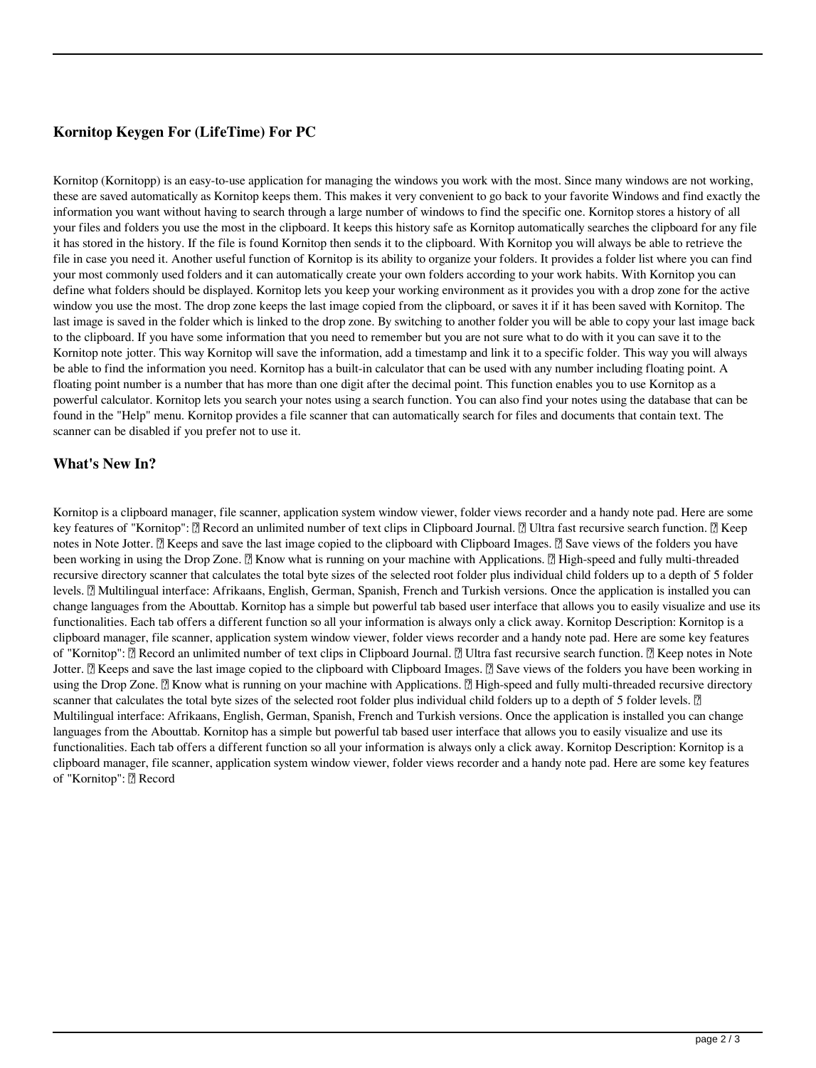## **Kornitop Keygen For (LifeTime) For PC**

Kornitop (Kornitopp) is an easy-to-use application for managing the windows you work with the most. Since many windows are not working, these are saved automatically as Kornitop keeps them. This makes it very convenient to go back to your favorite Windows and find exactly the information you want without having to search through a large number of windows to find the specific one. Kornitop stores a history of all your files and folders you use the most in the clipboard. It keeps this history safe as Kornitop automatically searches the clipboard for any file it has stored in the history. If the file is found Kornitop then sends it to the clipboard. With Kornitop you will always be able to retrieve the file in case you need it. Another useful function of Kornitop is its ability to organize your folders. It provides a folder list where you can find your most commonly used folders and it can automatically create your own folders according to your work habits. With Kornitop you can define what folders should be displayed. Kornitop lets you keep your working environment as it provides you with a drop zone for the active window you use the most. The drop zone keeps the last image copied from the clipboard, or saves it if it has been saved with Kornitop. The last image is saved in the folder which is linked to the drop zone. By switching to another folder you will be able to copy your last image back to the clipboard. If you have some information that you need to remember but you are not sure what to do with it you can save it to the Kornitop note jotter. This way Kornitop will save the information, add a timestamp and link it to a specific folder. This way you will always be able to find the information you need. Kornitop has a built-in calculator that can be used with any number including floating point. A floating point number is a number that has more than one digit after the decimal point. This function enables you to use Kornitop as a powerful calculator. Kornitop lets you search your notes using a search function. You can also find your notes using the database that can be found in the "Help" menu. Kornitop provides a file scanner that can automatically search for files and documents that contain text. The scanner can be disabled if you prefer not to use it.

### **What's New In?**

Kornitop is a clipboard manager, file scanner, application system window viewer, folder views recorder and a handy note pad. Here are some key features of "Kornitop": Record an unlimited number of text clips in Clipboard Journal. Ultra fast recursive search function. Keep notes in Note Jotter. **□** Keeps and save the last image copied to the clipboard with Clipboard Images. □ Save views of the folders you have been working in using the Drop Zone. <sup>2</sup> Know what is running on your machine with Applications. <sup>2</sup> High-speed and fully multi-threaded recursive directory scanner that calculates the total byte sizes of the selected root folder plus individual child folders up to a depth of 5 folder levels. **[2]** Multilingual interface: Afrikaans, English, German, Spanish, French and Turkish versions. Once the application is installed you can change languages from the Abouttab. Kornitop has a simple but powerful tab based user interface that allows you to easily visualize and use its functionalities. Each tab offers a different function so all your information is always only a click away. Kornitop Description: Kornitop is a clipboard manager, file scanner, application system window viewer, folder views recorder and a handy note pad. Here are some key features of "Kornitop": Record an unlimited number of text clips in Clipboard Journal. Ultra fast recursive search function. *a* Keep notes in Note Jotter. <sup>[7]</sup> Keeps and save the last image copied to the clipboard with Clipboard Images. <sup>[7]</sup> Save views of the folders you have been working in using the Drop Zone.  $[$  Know what is running on your machine with Applications.  $[$  High-speed and fully multi-threaded recursive directory scanner that calculates the total byte sizes of the selected root folder plus individual child folders up to a depth of 5 folder levels. <sup>1</sup> Multilingual interface: Afrikaans, English, German, Spanish, French and Turkish versions. Once the application is installed you can change languages from the Abouttab. Kornitop has a simple but powerful tab based user interface that allows you to easily visualize and use its functionalities. Each tab offers a different function so all your information is always only a click away. Kornitop Description: Kornitop is a clipboard manager, file scanner, application system window viewer, folder views recorder and a handy note pad. Here are some key features of "Kornitop": **7** Record